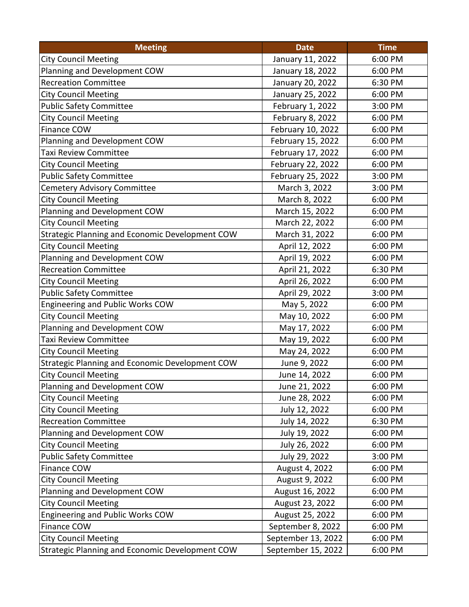| <b>Meeting</b>                                  | <b>Date</b>        | <b>Time</b> |
|-------------------------------------------------|--------------------|-------------|
| <b>City Council Meeting</b>                     | January 11, 2022   | 6:00 PM     |
| Planning and Development COW                    | January 18, 2022   | 6:00 PM     |
| <b>Recreation Committee</b>                     | January 20, 2022   | 6:30 PM     |
| <b>City Council Meeting</b>                     | January 25, 2022   | 6:00 PM     |
| <b>Public Safety Committee</b>                  | February 1, 2022   | 3:00 PM     |
| <b>City Council Meeting</b>                     | February 8, 2022   | 6:00 PM     |
| Finance COW                                     | February 10, 2022  | 6:00 PM     |
| Planning and Development COW                    | February 15, 2022  | 6:00 PM     |
| Taxi Review Committee                           | February 17, 2022  | 6:00 PM     |
| <b>City Council Meeting</b>                     | February 22, 2022  | 6:00 PM     |
| <b>Public Safety Committee</b>                  | February 25, 2022  | 3:00 PM     |
| Cemetery Advisory Committee                     | March 3, 2022      | 3:00 PM     |
| <b>City Council Meeting</b>                     | March 8, 2022      | 6:00 PM     |
| Planning and Development COW                    | March 15, 2022     | 6:00 PM     |
| <b>City Council Meeting</b>                     | March 22, 2022     | 6:00 PM     |
| Strategic Planning and Economic Development COW | March 31, 2022     | 6:00 PM     |
| <b>City Council Meeting</b>                     | April 12, 2022     | 6:00 PM     |
| Planning and Development COW                    | April 19, 2022     | 6:00 PM     |
| <b>Recreation Committee</b>                     | April 21, 2022     | 6:30 PM     |
| <b>City Council Meeting</b>                     | April 26, 2022     | 6:00 PM     |
| <b>Public Safety Committee</b>                  | April 29, 2022     | 3:00 PM     |
| Engineering and Public Works COW                | May 5, 2022        | 6:00 PM     |
| <b>City Council Meeting</b>                     | May 10, 2022       | 6:00 PM     |
| Planning and Development COW                    | May 17, 2022       | 6:00 PM     |
| Taxi Review Committee                           | May 19, 2022       | 6:00 PM     |
| <b>City Council Meeting</b>                     | May 24, 2022       | 6:00 PM     |
| Strategic Planning and Economic Development COW | June 9, 2022       | 6:00 PM     |
| <b>City Council Meeting</b>                     | June 14, 2022      | 6:00 PM     |
| Planning and Development COW                    | June 21, 2022      | 6:00 PM     |
| <b>City Council Meeting</b>                     | June 28, 2022      | 6:00 PM     |
| <b>City Council Meeting</b>                     | July 12, 2022      | 6:00 PM     |
| <b>Recreation Committee</b>                     | July 14, 2022      | 6:30 PM     |
| Planning and Development COW                    | July 19, 2022      | 6:00 PM     |
| <b>City Council Meeting</b>                     | July 26, 2022      | 6:00 PM     |
| <b>Public Safety Committee</b>                  | July 29, 2022      | 3:00 PM     |
| <b>Finance COW</b>                              | August 4, 2022     | 6:00 PM     |
| <b>City Council Meeting</b>                     | August 9, 2022     | 6:00 PM     |
| Planning and Development COW                    | August 16, 2022    | 6:00 PM     |
| <b>City Council Meeting</b>                     | August 23, 2022    | 6:00 PM     |
| Engineering and Public Works COW                | August 25, 2022    | 6:00 PM     |
| <b>Finance COW</b>                              | September 8, 2022  | 6:00 PM     |
| <b>City Council Meeting</b>                     | September 13, 2022 | 6:00 PM     |
| Strategic Planning and Economic Development COW | September 15, 2022 | 6:00 PM     |